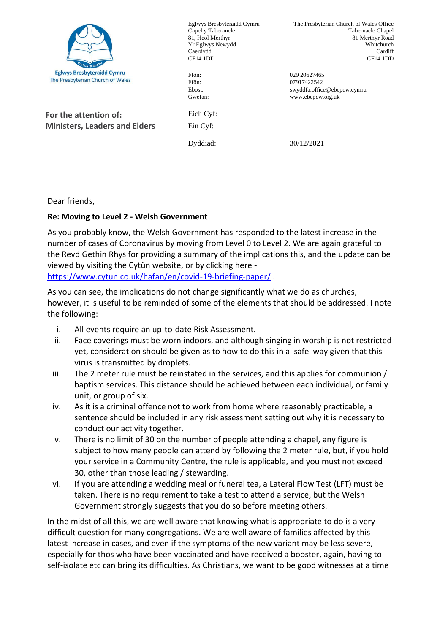

Eglwys Bresbyteraidd Cymru Capel y Taberancle 81, Heol Merthyr Yr Eglwys Newydd Caerdydd CF14 1DD

The Presbyterian Church of Wales Office Tabernacle Chapel 81 Merthyr Road Whitchurch Cardiff CF14 1DD

Ffôn: 029 20627465 Ffôn: 07917422542 Ebost: swyddfa.office@ebcpcw.cymru Gwefan: www.ebcpcw.org.uk

**For the attention of: Ministers, Leaders and Elders** Eich Cyf: Ein Cyf:

Dyddiad: 30/12/2021

Dear friends,

## **Re: Moving to Level 2 - Welsh Government**

As you probably know, the Welsh Government has responded to the latest increase in the number of cases of Coronavirus by moving from Level 0 to Level 2. We are again grateful to the Revd Gethin Rhys for providing a summary of the implications this, and the update can be viewed by visiting the Cytûn website, or by clicking here <https://www.cytun.co.uk/hafan/en/covid-19-briefing-paper/> .

As you can see, the implications do not change significantly what we do as churches, however, it is useful to be reminded of some of the elements that should be addressed. I note the following:

- i. All events require an up-to-date Risk Assessment.
- ii. Face coverings must be worn indoors, and although singing in worship is not restricted yet, consideration should be given as to how to do this in a 'safe' way given that this virus is transmitted by droplets.
- iii. The 2 meter rule must be reinstated in the services, and this applies for communion  $/$ baptism services. This distance should be achieved between each individual, or family unit, or group of six.
- iv. As it is a criminal offence not to work from home where reasonably practicable, a sentence should be included in any risk assessment setting out why it is necessary to conduct our activity together.
- v. There is no limit of 30 on the number of people attending a chapel, any figure is subject to how many people can attend by following the 2 meter rule, but, if you hold your service in a Community Centre, the rule is applicable, and you must not exceed 30, other than those leading / stewarding.
- vi. If you are attending a wedding meal or funeral tea, a Lateral Flow Test (LFT) must be taken. There is no requirement to take a test to attend a service, but the Welsh Government strongly suggests that you do so before meeting others.

In the midst of all this, we are well aware that knowing what is appropriate to do is a very difficult question for many congregations. We are well aware of families affected by this latest increase in cases, and even if the symptoms of the new variant may be less severe, especially for thos who have been vaccinated and have received a booster, again, having to self-isolate etc can bring its difficulties. As Christians, we want to be good witnesses at a time